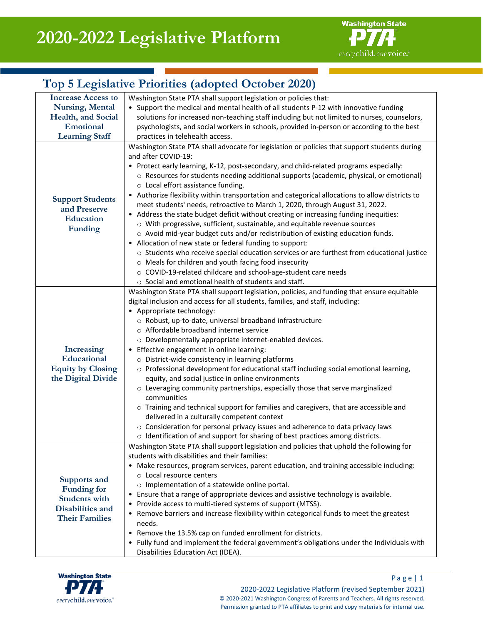

# **Top 5 Legislative Priorities (adopted October 2020)**

| <b>Increase Access to</b>          | Washington State PTA shall support legislation or policies that:                                                       |
|------------------------------------|------------------------------------------------------------------------------------------------------------------------|
| <b>Nursing, Mental</b>             | • Support the medical and mental health of all students P-12 with innovative funding                                   |
| Health, and Social                 | solutions for increased non-teaching staff including but not limited to nurses, counselors,                            |
| Emotional                          | psychologists, and social workers in schools, provided in-person or according to the best                              |
| <b>Learning Staff</b>              | practices in telehealth access.                                                                                        |
| <b>Support Students</b>            | Washington State PTA shall advocate for legislation or policies that support students during                           |
|                                    | and after COVID-19:                                                                                                    |
|                                    | • Protect early learning, K-12, post-secondary, and child-related programs especially:                                 |
|                                    | o Resources for students needing additional supports (academic, physical, or emotional)                                |
|                                    | $\circ$ Local effort assistance funding.                                                                               |
|                                    | • Authorize flexibility within transportation and categorical allocations to allow districts to                        |
| and Preserve                       | meet students' needs, retroactive to March 1, 2020, through August 31, 2022.                                           |
| Education                          | • Address the state budget deficit without creating or increasing funding inequities:                                  |
| <b>Funding</b>                     | o With progressive, sufficient, sustainable, and equitable revenue sources                                             |
|                                    | o Avoid mid-year budget cuts and/or redistribution of existing education funds.                                        |
|                                    | • Allocation of new state or federal funding to support:                                                               |
|                                    | ○ Students who receive special education services or are furthest from educational justice                             |
|                                    | o Meals for children and youth facing food insecurity                                                                  |
|                                    | o COVID-19-related childcare and school-age-student care needs<br>o Social and emotional health of students and staff. |
|                                    | Washington State PTA shall support legislation, policies, and funding that ensure equitable                            |
|                                    | digital inclusion and access for all students, families, and staff, including:                                         |
|                                    | • Appropriate technology:                                                                                              |
|                                    | o Robust, up-to-date, universal broadband infrastructure                                                               |
|                                    | o Affordable broadband internet service                                                                                |
|                                    | o Developmentally appropriate internet-enabled devices.                                                                |
| Increasing                         | • Effective engagement in online learning:                                                                             |
| Educational                        | o District-wide consistency in learning platforms                                                                      |
| <b>Equity by Closing</b>           | o Professional development for educational staff including social emotional learning,                                  |
| the Digital Divide                 | equity, and social justice in online environments                                                                      |
|                                    | o Leveraging community partnerships, especially those that serve marginalized                                          |
|                                    | communities                                                                                                            |
|                                    | o Training and technical support for families and caregivers, that are accessible and                                  |
|                                    | delivered in a culturally competent context                                                                            |
|                                    | o Consideration for personal privacy issues and adherence to data privacy laws                                         |
|                                    | o Identification of and support for sharing of best practices among districts.                                         |
| Supports and<br><b>Funding for</b> | Washington State PTA shall support legislation and policies that uphold the following for                              |
|                                    | students with disabilities and their families:                                                                         |
|                                    | • Make resources, program services, parent education, and training accessible including:                               |
|                                    | ○ Local resource centers                                                                                               |
|                                    | o Implementation of a statewide online portal.                                                                         |
| <b>Students with</b>               | • Ensure that a range of appropriate devices and assistive technology is available.                                    |
| Disabilities and                   | • Provide access to multi-tiered systems of support (MTSS).                                                            |
| <b>Their Families</b>              | • Remove barriers and increase flexibility within categorical funds to meet the greatest                               |
|                                    | needs.                                                                                                                 |
|                                    | • Remove the 13.5% cap on funded enrollment for districts.                                                             |
|                                    | • Fully fund and implement the federal government's obligations under the Individuals with                             |
|                                    | Disabilities Education Act (IDEA).                                                                                     |